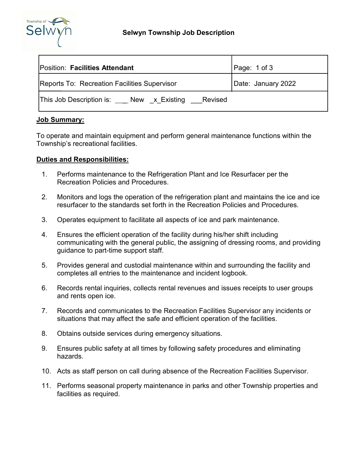

| <b>Position: Facilities Attendant</b>              | Page: 1 of 3       |
|----------------------------------------------------|--------------------|
| Reports To: Recreation Facilities Supervisor       | Date: January 2022 |
| This Job Description is: New x Existing<br>Revised |                    |

### **Job Summary:**

To operate and maintain equipment and perform general maintenance functions within the Township's recreational facilities.

### **Duties and Responsibilities:**

- 1. Performs maintenance to the Refrigeration Plant and Ice Resurfacer per the Recreation Policies and Procedures.
- 2. Monitors and logs the operation of the refrigeration plant and maintains the ice and ice resurfacer to the standards set forth in the Recreation Policies and Procedures.
- 3. Operates equipment to facilitate all aspects of ice and park maintenance.
- 4. Ensures the efficient operation of the facility during his/her shift including communicating with the general public, the assigning of dressing rooms, and providing guidance to part-time support staff.
- 5. Provides general and custodial maintenance within and surrounding the facility and completes all entries to the maintenance and incident logbook.
- 6. Records rental inquiries, collects rental revenues and issues receipts to user groups and rents open ice.
- 7. Records and communicates to the Recreation Facilities Supervisor any incidents or situations that may affect the safe and efficient operation of the facilities.
- 8. Obtains outside services during emergency situations.
- 9. Ensures public safety at all times by following safety procedures and eliminating hazards.
- 10. Acts as staff person on call during absence of the Recreation Facilities Supervisor.
- 11. Performs seasonal property maintenance in parks and other Township properties and facilities as required.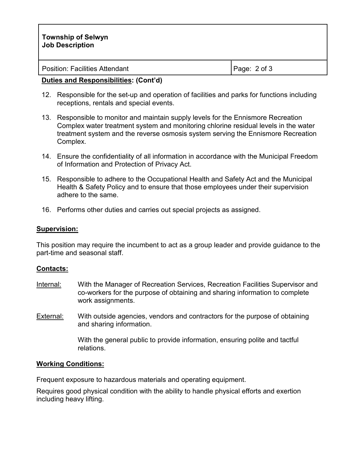| <b>Township of Selwyn</b><br><b>Job Description</b> |              |
|-----------------------------------------------------|--------------|
| <b>Position: Facilities Attendant</b>               | Page: 2 of 3 |

### **Duties and Responsibilities: (Cont'd)**

- 12. Responsible for the set-up and operation of facilities and parks for functions including receptions, rentals and special events.
- 13. Responsible to monitor and maintain supply levels for the Ennismore Recreation Complex water treatment system and monitoring chlorine residual levels in the water treatment system and the reverse osmosis system serving the Ennismore Recreation Complex.
- 14. Ensure the confidentiality of all information in accordance with the Municipal Freedom of Information and Protection of Privacy Act.
- 15. Responsible to adhere to the Occupational Health and Safety Act and the Municipal Health & Safety Policy and to ensure that those employees under their supervision adhere to the same.
- 16. Performs other duties and carries out special projects as assigned.

### **Supervision:**

This position may require the incumbent to act as a group leader and provide guidance to the part-time and seasonal staff.

## **Contacts:**

- Internal: With the Manager of Recreation Services, Recreation Facilities Supervisor and co-workers for the purpose of obtaining and sharing information to complete work assignments.
- External: With outside agencies, vendors and contractors for the purpose of obtaining and sharing information.

With the general public to provide information, ensuring polite and tactful relations.

### **Working Conditions:**

Frequent exposure to hazardous materials and operating equipment.

Requires good physical condition with the ability to handle physical efforts and exertion including heavy lifting.